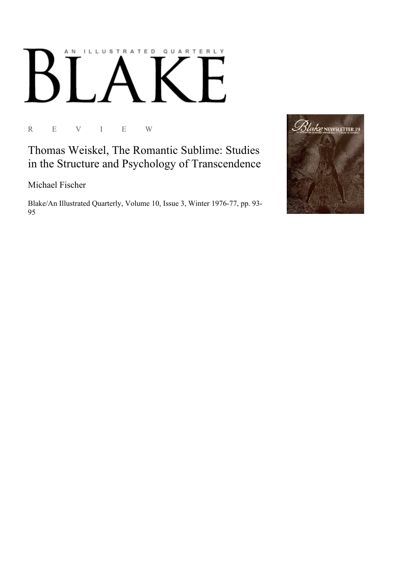## AN ILLUSTRATED QUARTERLY

R E V I E W

Thomas Weiskel, The Romantic Sublime: Studies in the Structure and Psychology of Transcendence

Michael Fischer

Blake/An Illustrated Quarterly, Volume 10, Issue 3, Winter 1976-77, pp. 93-95

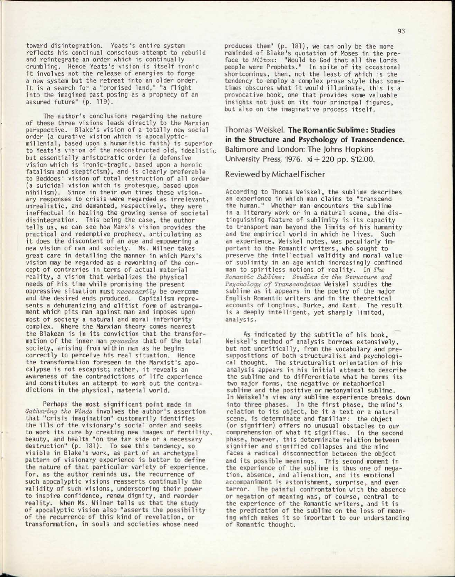toward disintegration. Yeats's entire system reflects his continual conscious attempt to rebuild and reintegrate an order which is continually crumbling. Hence Yeats's vision is itself ironic it involves not the release of energies to forge a new system but the retreat into an older order. It is a search for a "promised land," "a flight into the imagined past posing as a prophecy of an assured future" (p. 119).

The author's conclusions regarding the nature of these three visions leads directly to the Marxian perspective. Blake's vision of a totally new social order (a curative vision which is apocalypticmillenial, based upon a humanistic faith) is superior to Yeats's vision of the reconstructed old, idealistic but essentially aristocratic order (a defensive vision which is ironic-tragic, based upon a heroic fatalism and skepticism), and is clearly preferable to Beddoes' vision of total destruction of all order (a suicidal vision which is grotesque, based upon nihilism). Since in their own times these visionary responses to crisis were regarded as irrelevant, unrealistic, and demented, respectively, they were ineffectual in healing the growing sense of societal disintegration. This being the case, the author tells us, we can see how Marx's vision provides the practical and redemptive prophecy, articulating as it does the discontent of an age and empowering a new vision of man and society. Ms. Wilner takes great care in detailing the manner in which Marx's vision may be regarded as a reworking of the concept of contraries in terms of actual material reality, a vision that verbalizes the physical needs of his time while promising the present oppressive situation must *necessarily* be overcome and the desired ends produced. Capitalism represents a dehumanizing and elitist form of estrangement which pits man against man and imposes upon most ot society a natural and moral inferiority complex. Where the Marxian theory comes nearest the Blakean is in its conviction that the transformation of the inner man *precedes* that of the total society, arising from within man as he begins correctly to perceive his real situation. Hence the transformation foreseen in the Marxist's apocalypse is not escapist; rather, it reveals an awareness of the contradictions of life experience and constitutes an attempt to work out the contradictions in the physical, material world.

Perhaps the most significant point made in *Gathering the Winds* involves the author's assertion that "crisis imagination" customarily identifies the ills of the visionary's social order and seeks to work its cure by creating new images of fertility, beauty, and health "on the far side of a necessary destruction" (p. 181). To see this tendency, so visible in Blake's work, as part of an archetypal pattern of visionary experience is better to define the nature of that particular variety of experience. For, as the author reminds us, the recurrence of such apocalyptic visions reasserts continually the validity of such visions, underscoring their power to inspire confidence, renew dignity, and reorder reality. When Ms. Wilner tells us that the study of apocalyptic vision also "asserts the possibility of the recurrence of this kind of revelation, or transformation, in souls and societies whose need

produces them" (p. 181), we can only be the more reminded of Blake's quotation of Moses in the preface to *Milton:* "Would to God that all the Lords people were Prophets." In spite of its occasional shortcomings, then, not the least of which is the tendency to employ a complex prose style that sometimes obscures what it would illuminate, this is a provocative book, one that provides some valuable insights not just on its four principal figures, but also on the imaginative process itself.

Thomas Weiskel. The Romantic Sublime: Studies in the Structure and Psychology of Transcendence. Baltimore and London: The Johns Hopkins University Press, 1976. xi + 220 pp. \$12.00.

## Reviewed by Michael Fischer

According to Thomas Weiskel, the sublime describes an experience in which man claims to "transcend the human." Whether man encounters the sublime in a literary work or in a natural scene, the distinguishing feature of sublimity is its capacity to transport man beyond the limits of his humanity and the empirical world in which he lives. Such an experience, Weiskel notes, was peculiarly important to the Romantic writers, who sought to preserve the intellectual validity and moral value of sublimity in an age which increasingly confined man to spiritless notions of reality. In *The Romantic Sublime: Studies in the Structure and Psychology of Transcendence* Weiskel studies the sublime as it appears in the poetry of the major English Romantic writers and in the theoretical accounts of Longinus, Burke, and Kant. The result is a deeply intelligent, yet sharply limited, analysis.

As indicated by the subtitle of his book, Weiskel's method of analysis borrows extensively, but not uncritically, from the vocabulary and presuppositions of both structuralist and psychological thought. The structuralist orientation of his analysis appears in his initial attempt to describe the sublime and to differentiate what he terms its two major forms, the negative or metaphorical sublime and the positive or metonymical sublime. In Weiskel's view any sublime experience breaks down into three phases. In the first phase, the mind's relation to its object, be it a text or a natural scene, is determinate and familiar: the object (or signifier) offers no unusual obstacles to our comprehension of what it signifies. In the second phase, however, this determinate relation between signifier and signified collapses and the mind faces a radical disconnection between the object and its possible meanings. This second moment in the experience of the sublime is thus one of negation, absence, and alienation, and its emotional accompaniment is astonishment, surprise, and even terror. The painful confrontation with the absence or negation of meaning was, of course, central to the experience of the Romantic writers, and it is the predication of the sublime on the loss of meaning which makes it so important to our understanding of Romantic thought.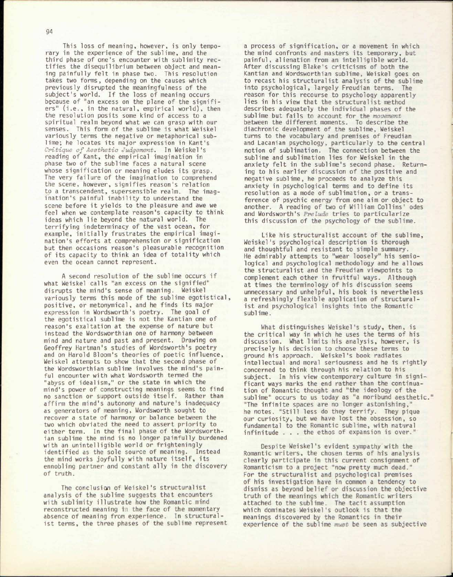94 This loss of meaning, however, is only tempo-

rary in the experience of the sublime, and the third phase of one's encounter with sublimity rectifies the disequilibrium between object and meaning painfully felt in phase two. This resolution takes two forms, depending on the causes which previously disrupted the meaningfulness of the subject's world. If the loss of meaning occurs because of "an excess on the plane of the signifiers" (i.e., in the natural, empirical world), then the resolution posits some kind of access to a spiritual realm beyond what we can grasp with our senses. This form of the sublime is what Weiskel variously terms the negative or metaphorical sublime; he locates its major expression in Kant's *Critique of Aesthetic Judgement.* In Weiskel's reading of Kant, the empirical imagination in phase two of the sublime faces a natural scene whose signification or meaning eludes its grasp. The very failure of the imagination to comprehend the scene, however, signifies reason's relation to a transcendent, supersensible realm. The imagination's painful inability to understand the scene before it yields to the pleasure and awe we feel when we contemplate reason's capacity to think ideas which lie beyond the natural world. The terrifying indeterminacy of the vast ocean, for example, initially frustrates the empirical imagination's efforts at comprehension or signification but then occasions reason's pleasurable recognition of its capacity to think an idea of totality which even the ocean cannot represent.

A second resolution of the sublime occurs if what Weiskel calls "an excess on the signified" disrupts the mind's sense of meaning. Weiskel variously terms this mode of the sublime egotistical, positive, or metonymical, and he finds its major expression in Wordsworth's poetry. The goal of the egotistical sublime is not the Kantian one of reason's exaltation at the expense of nature but instead the Wordsworthian one of harmony between mind and nature and past and present. Drawing on Geoffrey Hartman's studies of Wordsworth's poetry and on Harold Bloom's theories of poetic influence, Weiskel attempts to show that the second phase of the Wordsworthian sublime involves the mind's painful encounter with what Wordsworth termed the "abyss of idealism," or the state in which the mind's power of constructing meanings seems to find no sanction or support outside itself. Rather than affirm the mind's autonomy and nature's inadequacy as generators of meaning, Wordsworth sought to recover a state of harmony or balance between the two which obviated the need to assert priority to either term. In the final phase of the Wordsworthian sublime the mind is no longer painfully burdened with an unintelligible world or frighteningly identified as the sole source of meaning. Instead the mind works joyfully with nature itself, its ennobling partner and constant ally in the discovery of truth.

The conclusion of Weiskel's structuralist analysis of the sublime suggests that encounters with sublimity illustrate how the Romantic mind reconstructed meaning in the face of the momentary absence of meaning from experience. In structuralist terms, the three phases of the sublime represent

a process of signification, or a movement in which the mind confronts and masters its temporary, but painful, alienation from an intelligible world. After discussing Blake's criticisms of both the Kantian and Wordsworthian sublime, Weiskel goes on to recast his structuralist analysis of the sublime into psychological, largely Freudian terms. The reason for this recourse to psychology apparently lies in his view that the structuralist method describes adequately the individual phases of the sublime but fails to account for the *movement*  between the different moments. To describe the diachronic development of the sublime, Weiskel turns to the vocabulary and premises of Freudian and Lacanian psychology, particularly to the central notion of sublimation. The connection between the sublime and sublimation lies for Weiskel in the anxiety felt in the sublime's second phase. Returning to his earlier discussion of the positive and negative sublime, he proceeds to analyze this anxiety in psychological terms and to define its resolution as a mode of sublimation, or a transference of psychic energy from one aim or object to another. A reading of two of William Collins' odes and Wordsworth's *Prelude* tries to particularize this discussion of the psychology of the sublime.

Like his structuralist account of the sublime, Weiskel's psychological description is thorough and thoughtful and resistant to simple summary. He admirably attempts to "wear loosely" his semiological and psychological methodology and he allows the structuralist and the Freudian viewpoints to complement each other in fruitful ways. Although at times the terminology of his discussion seems unnecessary and unhelpful, his book is nevertheless a refreshingly flexible application of structuralist and psychological insights into the Romantic sublime.

What distinguishes Weiskel's study, then, is the critical way in which he uses the terms of his discussion. What limits his analysis, however, is precisely his decision to choose these terms to ground his approach. Weiskel's book radiates intellectual and moral seriousness and he is rightly concerned to think through his relation to his subject. In his view contemporary culture in significant ways marks the end rather than the continuation of Romantic thought and "the ideology of the sublime" occurs to us today as "a moribund aesthetic." "The infinite spaces are no longer astonishing," he notes. "Still less do they terrify. They pique our curiosity, but we have lost the obsession, so fundamental to the Romantic sublime, with natural infinitude . . . the ethos of expansion is over."

Despite Weiskel's evident sympathy with the Romantic writers, the chosen terms of his analysis clearly participate in this current consignment of Romanticism to a project "now pretty much dead." For the structuralist and psychological premises of his investigation have in common a tendency to dismiss as beyond belief or discussion the objective truth of the meanings which the Romantic writers attached to the sublime. The tacit assumption which dominates Weiskel's outlook is that the meanings discovered by the Romantics in their experience of the sublime *must* be seen as subjective